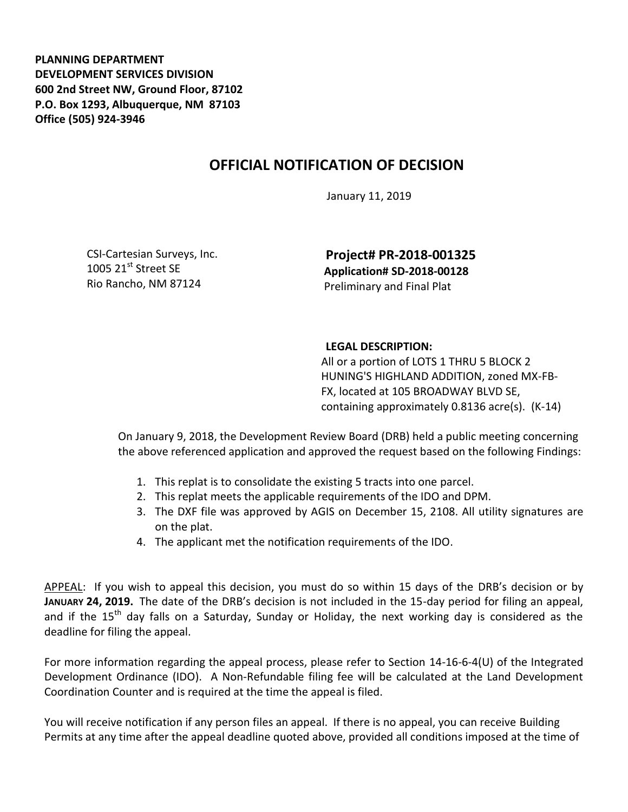**PLANNING DEPARTMENT DEVELOPMENT SERVICES DIVISION 600 2nd Street NW, Ground Floor, 87102 P.O. Box 1293, Albuquerque, NM 87103 Office (505) 924-3946** 

## **OFFICIAL NOTIFICATION OF DECISION**

January 11, 2019

CSI-Cartesian Surveys, Inc. 1005 21 $\mathrm{^{st}}$  Street SE Rio Rancho, NM 87124

**Project# PR-2018-001325 Application# SD-2018-00128** Preliminary and Final Plat

## **LEGAL DESCRIPTION:**

All or a portion of LOTS 1 THRU 5 BLOCK 2 HUNING'S HIGHLAND ADDITION, zoned MX-FB-FX, located at 105 BROADWAY BLVD SE, containing approximately 0.8136 acre(s). (K-14)

On January 9, 2018, the Development Review Board (DRB) held a public meeting concerning the above referenced application and approved the request based on the following Findings:

- 1. This replat is to consolidate the existing 5 tracts into one parcel.
- 2. This replat meets the applicable requirements of the IDO and DPM.
- 3. The DXF file was approved by AGIS on December 15, 2108. All utility signatures are on the plat.
- 4. The applicant met the notification requirements of the IDO.

APPEAL: If you wish to appeal this decision, you must do so within 15 days of the DRB's decision or by **JANUARY 24, 2019.** The date of the DRB's decision is not included in the 15-day period for filing an appeal, and if the  $15<sup>th</sup>$  day falls on a Saturday, Sunday or Holiday, the next working day is considered as the deadline for filing the appeal.

For more information regarding the appeal process, please refer to Section 14-16-6-4(U) of the Integrated Development Ordinance (IDO). A Non-Refundable filing fee will be calculated at the Land Development Coordination Counter and is required at the time the appeal is filed.

You will receive notification if any person files an appeal. If there is no appeal, you can receive Building Permits at any time after the appeal deadline quoted above, provided all conditions imposed at the time of